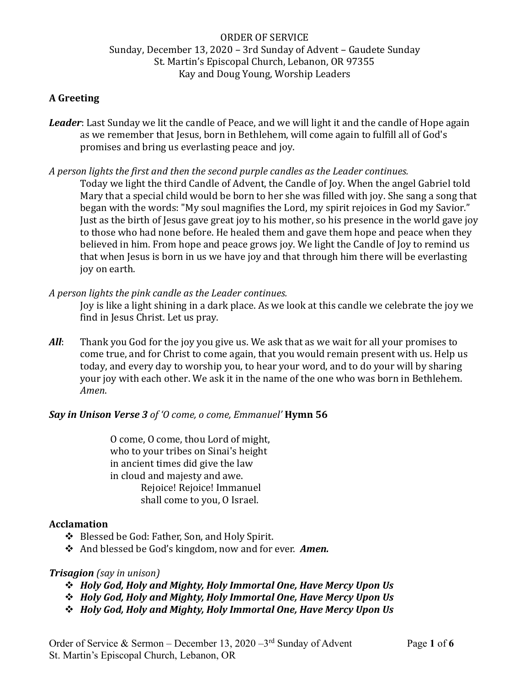# ORDER OF SERVICE Sunday, December 13, 2020 – 3rd Sunday of Advent – Gaudete Sunday St. Martin's Episcopal Church, Lebanon, OR 97355 Kay and Doug Young, Worship Leaders

## **A Greeting**

*Leader*: Last Sunday we lit the candle of Peace, and we will light it and the candle of Hope again as we remember that Jesus, born in Bethlehem, will come again to fulfill all of God's promises and bring us everlasting peace and joy.

*A person lights the first and then the second purple candles as the Leader continues.*

Today we light the third Candle of Advent, the Candle of Joy. When the angel Gabriel told Mary that a special child would be born to her she was filled with joy. She sang a song that began with the words: "My soul magnifies the Lord, my spirit rejoices in God my Savior." Just as the birth of Jesus gave great joy to his mother, so his presence in the world gave joy to those who had none before. He healed them and gave them hope and peace when they believed in him. From hope and peace grows joy. We light the Candle of Joy to remind us that when Jesus is born in us we have joy and that through him there will be everlasting joy on earth.

### *A person lights the pink candle as the Leader continues.*

Joy is like a light shining in a dark place. As we look at this candle we celebrate the joy we find in Jesus Christ. Let us pray.

*All*: Thank you God for the joy you give us. We ask that as we wait for all your promises to come true, and for Christ to come again, that you would remain present with us. Help us today, and every day to worship you, to hear your word, and to do your will by sharing your joy with each other. We ask it in the name of the one who was born in Bethlehem. *Amen*.

## *Say in Unison Verse 3 of 'O come, o come, Emmanuel'* **Hymn 56**

O come, O come, thou Lord of might, who to your tribes on Sinai's height in ancient times did give the law in cloud and majesty and awe. Rejoice! Rejoice! Immanuel shall come to you, O Israel.

## **Acclamation**

- ❖ Blessed be God: Father, Son, and Holy Spirit.
- ❖ And blessed be God's kingdom, now and for ever. *Amen.*

## *Trisagion (say in unison)*

- ❖ *Holy God, Holy and Mighty, Holy Immortal One, Have Mercy Upon Us*
- ❖ *Holy God, Holy and Mighty, Holy Immortal One, Have Mercy Upon Us*
- ❖ *Holy God, Holy and Mighty, Holy Immortal One, Have Mercy Upon Us*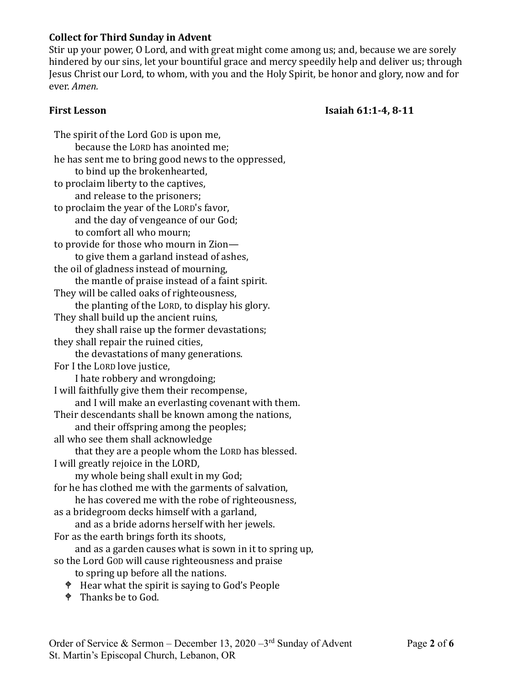## **Collect for Third Sunday in Advent**

Stir up your power, O Lord, and with great might come among us; and, because we are sorely hindered by our sins, let your bountiful grace and mercy speedily help and deliver us; through Jesus Christ our Lord, to whom, with you and the Holy Spirit, be honor and glory, now and for ever. *Amen.*

### **First Lesson Isaiah 61:1-4, 8-11**

The spirit of the Lord GOD is upon me, because the LORD has anointed me; he has sent me to bring good news to the oppressed, to bind up the brokenhearted, to proclaim liberty to the captives, and release to the prisoners; to proclaim the year of the LORD's favor, and the day of vengeance of our God; to comfort all who mourn; to provide for those who mourn in Zion to give them a garland instead of ashes, the oil of gladness instead of mourning, the mantle of praise instead of a faint spirit. They will be called oaks of righteousness, the planting of the LORD, to display his glory. They shall build up the ancient ruins, they shall raise up the former devastations; they shall repair the ruined cities, the devastations of many generations. For I the LORD love justice, I hate robbery and wrongdoing; I will faithfully give them their recompense, and I will make an everlasting covenant with them. Their descendants shall be known among the nations, and their offspring among the peoples; all who see them shall acknowledge that they are a people whom the LORD has blessed. I will greatly rejoice in the LORD, my whole being shall exult in my God; for he has clothed me with the garments of salvation, he has covered me with the robe of righteousness, as a bridegroom decks himself with a garland, and as a bride adorns herself with her jewels. For as the earth brings forth its shoots, and as a garden causes what is sown in it to spring up, so the Lord GOD will cause righteousness and praise to spring up before all the nations.

- Hear what the spirit is saying to God's People
- <sup> $\bullet$ </sup> Thanks be to God.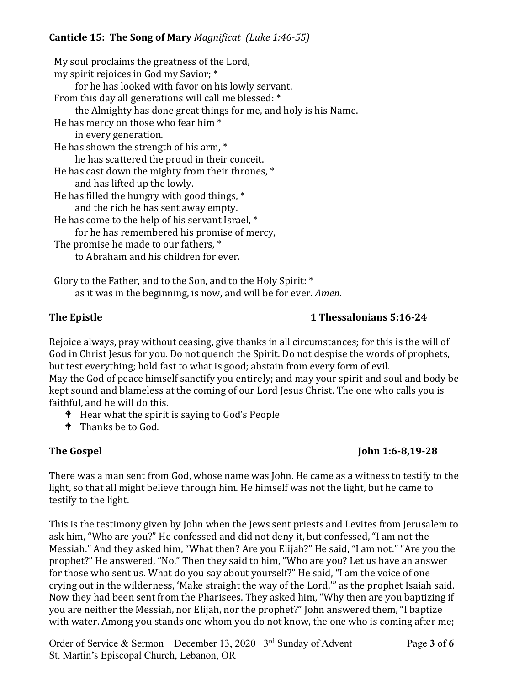# **Canticle 15: The Song of Mary** *Magnificat (Luke 1:46-55)*

My soul proclaims the greatness of the Lord, my spirit rejoices in God my Savior; \* for he has looked with favor on his lowly servant. From this day all generations will call me blessed: \* the Almighty has done great things for me, and holy is his Name. He has mercy on those who fear him \* in every generation. He has shown the strength of his arm, \* he has scattered the proud in their conceit. He has cast down the mighty from their thrones, \* and has lifted up the lowly. He has filled the hungry with good things, \* and the rich he has sent away empty. He has come to the help of his servant Israel, \* for he has remembered his promise of mercy, The promise he made to our fathers, \* to Abraham and his children for ever.

Glory to the Father, and to the Son, and to the Holy Spirit: \* as it was in the beginning, is now, and will be for ever. *Amen*.

# **The Epistle 1 Thessalonians 5:16-24**

Rejoice always, pray without ceasing, give thanks in all circumstances; for this is the will of God in Christ Jesus for you. Do not quench the Spirit. Do not despise the words of prophets, but test everything; hold fast to what is good; abstain from every form of evil. May the God of peace himself sanctify you entirely; and may your spirit and soul and body be kept sound and blameless at the coming of our Lord Jesus Christ. The one who calls you is faithful, and he will do this.

- Hear what the spirit is saying to God's People
- <sup> $\bullet$ </sup> Thanks be to God.

# **The Gospel 31 and 22 and 23 and 23 and 23 and 24 and 25 and 26.8,19-28**

There was a man sent from God, whose name was John. He came as a witness to testify to the light, so that all might believe through him. He himself was not the light, but he came to testify to the light.

This is the testimony given by John when the Jews sent priests and Levites from Jerusalem to ask him, "Who are you?" He confessed and did not deny it, but confessed, "I am not the Messiah." And they asked him, "What then? Are you Elijah?" He said, "I am not." "Are you the prophet?" He answered, "No." Then they said to him, "Who are you? Let us have an answer for those who sent us. What do you say about yourself?" He said, "I am the voice of one crying out in the wilderness, 'Make straight the way of the Lord,'" as the prophet Isaiah said. Now they had been sent from the Pharisees. They asked him, "Why then are you baptizing if you are neither the Messiah, nor Elijah, nor the prophet?" John answered them, "I baptize with water. Among you stands one whom you do not know, the one who is coming after me;

Order of Service & Sermon – December 13, 2020 –3<sup>rd</sup> Sunday of Advent Page 3 of 6 St. Martin's Episcopal Church, Lebanon, OR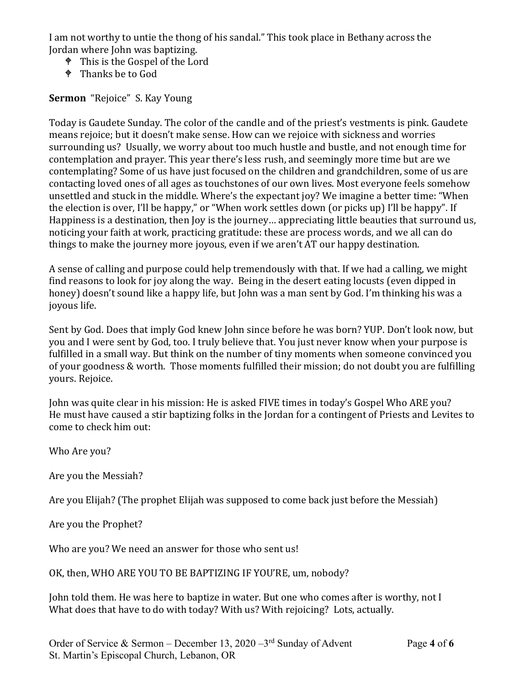I am not worthy to untie the thong of his sandal." This took place in Bethany across the Jordan where John was baptizing.

- This is the Gospel of the Lord
- <sup> $\bullet$ </sup> Thanks be to God

**Sermon** "Rejoice" S. Kay Young

Today is Gaudete Sunday. The color of the candle and of the priest's vestments is pink. Gaudete means rejoice; but it doesn't make sense. How can we rejoice with sickness and worries surrounding us? Usually, we worry about too much hustle and bustle, and not enough time for contemplation and prayer. This year there's less rush, and seemingly more time but are we contemplating? Some of us have just focused on the children and grandchildren, some of us are contacting loved ones of all ages as touchstones of our own lives. Most everyone feels somehow unsettled and stuck in the middle. Where's the expectant joy? We imagine a better time: "When the election is over, I'll be happy," or "When work settles down (or picks up) I'll be happy". If Happiness is a destination, then Joy is the journey… appreciating little beauties that surround us, noticing your faith at work, practicing gratitude: these are process words, and we all can do things to make the journey more joyous, even if we aren't AT our happy destination.

A sense of calling and purpose could help tremendously with that. If we had a calling, we might find reasons to look for joy along the way. Being in the desert eating locusts (even dipped in honey) doesn't sound like a happy life, but John was a man sent by God. I'm thinking his was a joyous life.

Sent by God. Does that imply God knew John since before he was born? YUP. Don't look now, but you and I were sent by God, too. I truly believe that. You just never know when your purpose is fulfilled in a small way. But think on the number of tiny moments when someone convinced you of your goodness & worth. Those moments fulfilled their mission; do not doubt you are fulfilling yours. Rejoice.

John was quite clear in his mission: He is asked FIVE times in today's Gospel Who ARE you? He must have caused a stir baptizing folks in the Jordan for a contingent of Priests and Levites to come to check him out:

Who Are you?

Are you the Messiah?

Are you Elijah? (The prophet Elijah was supposed to come back just before the Messiah)

Are you the Prophet?

Who are you? We need an answer for those who sent us!

OK, then, WHO ARE YOU TO BE BAPTIZING IF YOU'RE, um, nobody?

John told them. He was here to baptize in water. But one who comes after is worthy, not I What does that have to do with today? With us? With rejoicing? Lots, actually.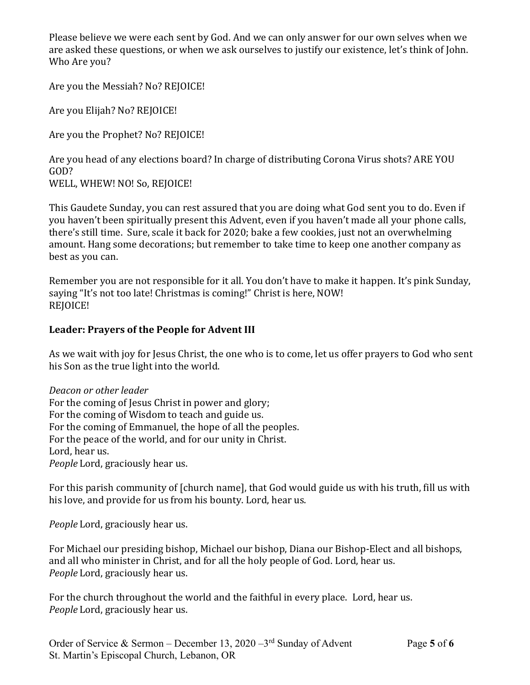Please believe we were each sent by God. And we can only answer for our own selves when we are asked these questions, or when we ask ourselves to justify our existence, let's think of John. Who Are you?

Are you the Messiah? No? REJOICE!

Are you Elijah? No? REJOICE!

Are you the Prophet? No? REJOICE!

Are you head of any elections board? In charge of distributing Corona Virus shots? ARE YOU GOD? WELL, WHEW! NO! So, REJOICE!

This Gaudete Sunday, you can rest assured that you are doing what God sent you to do. Even if you haven't been spiritually present this Advent, even if you haven't made all your phone calls, there's still time. Sure, scale it back for 2020; bake a few cookies, just not an overwhelming amount. Hang some decorations; but remember to take time to keep one another company as best as you can.

Remember you are not responsible for it all. You don't have to make it happen. It's pink Sunday, saying "It's not too late! Christmas is coming!" Christ is here, NOW! REJOICE!

# **Leader: Prayers of the People for Advent III**

As we wait with joy for Jesus Christ, the one who is to come, let us offer prayers to God who sent his Son as the true light into the world.

*Deacon or other leader* For the coming of Jesus Christ in power and glory; For the coming of Wisdom to teach and guide us. For the coming of Emmanuel, the hope of all the peoples. For the peace of the world, and for our unity in Christ. Lord, hear us. *People* Lord, graciously hear us.

For this parish community of [church name], that God would guide us with his truth, fill us with his love, and provide for us from his bounty. Lord, hear us.

*People* Lord, graciously hear us.

For Michael our presiding bishop, Michael our bishop, Diana our Bishop-Elect and all bishops, and all who minister in Christ, and for all the holy people of God. Lord, hear us. *People* Lord, graciously hear us.

For the church throughout the world and the faithful in every place. Lord, hear us. *People* Lord, graciously hear us.